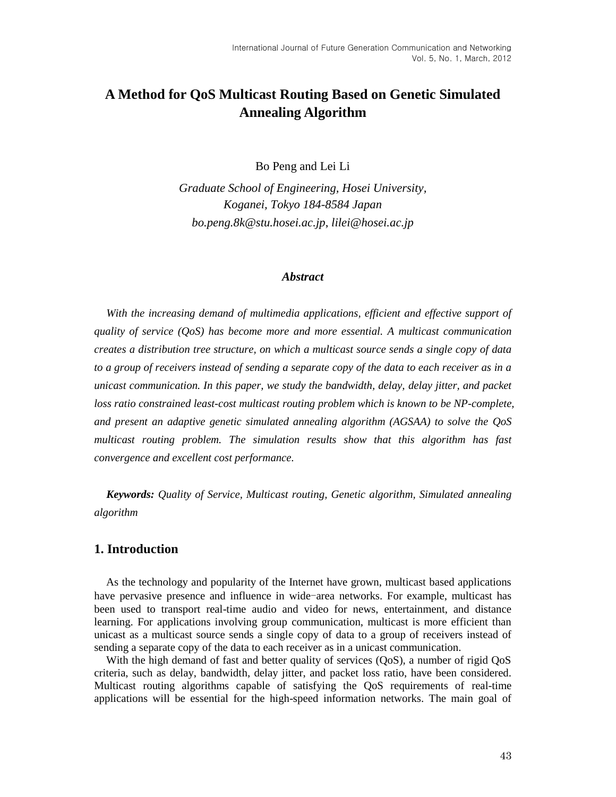# **A Method for QoS Multicast Routing Based on Genetic Simulated Annealing Algorithm**

Bo Peng and Lei Li

*Graduate School of Engineering, Hosei University, Koganei, Tokyo 184-8584 Japan [bo.peng.8k@stu.hosei.ac.jp](mailto:bo.peng.8k@stu.hosei.ac.jp)*, *[lilei@hosei.ac.jp](mailto:lilei@hosei.ac.jp)*

#### *Abstract*

*With the increasing demand of multimedia applications, efficient and effective support of quality of service (QoS) has become more and more essential. A multicast communication creates a distribution tree structure, on which a multicast source sends a single copy of data to a group of receivers instead of sending a separate copy of the data to each receiver as in a unicast communication. In this paper, we study the bandwidth, delay, delay jitter, and packet loss ratio constrained least-cost multicast routing problem which is known to be NP-complete, and present an adaptive genetic simulated annealing algorithm (AGSAA) to solve the QoS multicast routing problem. The simulation results show that this algorithm has fast convergence and excellent cost performance.*

*Keywords: Quality of Service, Multicast routing, Genetic algorithm, Simulated annealing algorithm*

# **1. Introduction**

As the technology and popularity of the Internet have grown, multicast based applications have pervasive presence and influence in wide-area networks. For example, multicast has been used to transport real-time audio and video for news, entertainment, and distance learning. For applications involving group communication, multicast is more efficient than unicast as a multicast source sends a single copy of data to a group of receivers instead of sending a separate copy of the data to each receiver as in a unicast communication.

With the high demand of fast and better quality of services (QoS), a number of rigid QoS criteria, such as delay, bandwidth, delay jitter, and packet loss ratio, have been considered. Multicast routing algorithms capable of satisfying the QoS requirements of real-time applications will be essential for the high-speed information networks. The main goal of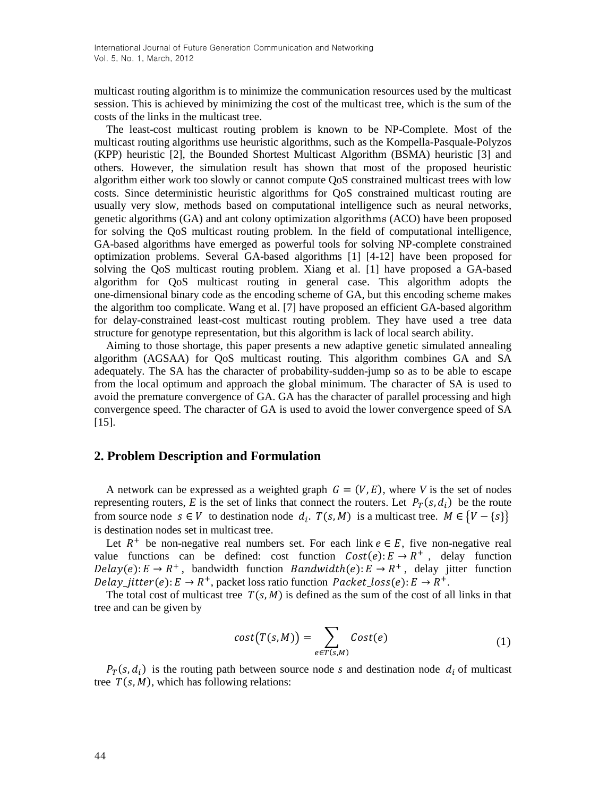multicast routing algorithm is to minimize the communication resources used by the multicast session. This is achieved by minimizing the cost of the multicast tree, which is the sum of the costs of the links in the multicast tree.

The least-cost multicast routing problem is known to be NP-Complete. Most of the multicast routing algorithms use heuristic algorithms, such as the Kompella-Pasquale-Polyzos (KPP) heuristic [2], the Bounded Shortest Multicast Algorithm (BSMA) heuristic [3] and others. However, the simulation result has shown that most of the proposed heuristic algorithm either work too slowly or cannot compute QoS constrained multicast trees with low costs. Since deterministic heuristic algorithms for QoS constrained multicast routing are usually very slow, methods based on computational intelligence such as neural networks, genetic algorithms (GA) and ant colony optimization [algorithms](/wiki/Algorithm) (ACO) have been proposed for solving the QoS multicast routing problem. In the field of computational intelligence, GA-based algorithms have emerged as powerful tools for solving NP-complete constrained optimization problems. Several GA-based algorithms [1] [4-12] have been proposed for solving the QoS multicast routing problem. Xiang et al. [1] have proposed a GA-based algorithm for QoS multicast routing in general case. This algorithm adopts the one-dimensional binary code as the encoding scheme of GA, but this encoding scheme makes the algorithm too complicate. Wang et al. [7] have proposed an efficient GA-based algorithm for delay-constrained least-cost multicast routing problem. They have used a tree data structure for genotype representation, but this algorithm is lack of local search ability.

Aiming to those shortage, this paper presents a new adaptive genetic simulated annealing algorithm (AGSAA) for QoS multicast routing. This algorithm combines GA and SA adequately. The SA has the character of probability-sudden-jump so as to be able to escape from the local optimum and approach the global minimum. The character of SA is used to avoid the premature convergence of GA. GA has the character of parallel processing and high convergence speed. The character of GA is used to avoid the lower convergence speed of SA [15].

#### **2. Problem Description and Formulation**

A network can be expressed as a weighted graph  $G = (V, E)$ , where *V* is the set of nodes representing routers, E is the set of links that connect the routers. Let  $P_T(s, d_i)$  be the route from source node  $s \in V$  to destination node  $d_i$ .  $T(s, M)$  is a multicast tree.  $M \in \{V - \{s\}\}\$ is destination nodes set in multicast tree.

Let  $R^+$  be non-negative real numbers set. For each link  $e \in E$ , five non-negative real value functions can be defined: cost function  $Cost(e): E \to R^+$ , delay function  $Delay(e): E \rightarrow R^+$ , bandwidth function *Bandwidth*(e):  $E \rightarrow R^+$ , delay jitter function Delay\_jitter(e):  $E \to R^+$ , packet loss ratio function  $Packet\_loss(e)$ :  $E \to R^+$ .

The total cost of multicast tree  $T(s, M)$  is defined as the sum of the cost of all links in that tree and can be given by

$$
cost(T(s, M)) = \sum_{e \in T(s, M)} Cost(e)
$$
 (1)

 $P_T(s, d_i)$  is the routing path between source node *s* and destination node  $d_i$  of multicast tree  $T(s, M)$ , which has following relations: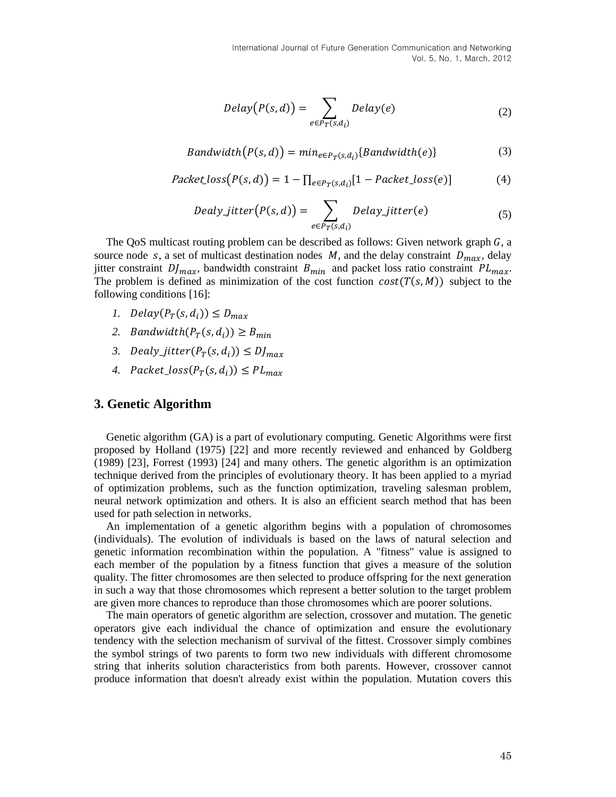$$
Delay(P(s, d)) = \sum_{e \in P_T(s, d_i)} Delay(e)
$$
 (2)

$$
Bandwidth(P(s, d)) = min_{e \in P_T(s, d_i)} \{Bandwidth(e)\}
$$
\n(3)

$$
Packet\_loss(P(s, d)) = 1 - \prod_{e \in P_T(s, d_i)} [1 - Packet\_loss(e)] \tag{4}
$$

$$
Delay\_jitter(P(s, d)) = \sum_{e \in P_T(s, d_i)} Delay\_jitter(e)
$$
\n(5)

The QoS multicast routing problem can be described as follows: Given network graph  $G$ , a source node s, a set of multicast destination nodes  $M$ , and the delay constraint  $D_{max}$ , delay jitter constraint  $Df_{max}$ , bandwidth constraint  $B_{min}$  and packet loss ratio constraint  $PL_{max}$ . The problem is defined as minimization of the cost function  $cost(T(s, M))$  subject to the following conditions [16]:

- *1.*  $Delay(P_T(s, d_i)) \leq D_{max}$
- 2. Bandwidth $(P_T(s, d_i)) \geq B_{min}$
- 3. Dealy\_jitter( $P_T(s, d_i)$ )  $\leq D_{max}$
- 4.  $Packet\_loss(P_T(s, d_i)) \leq PL_{max}$

#### **3. Genetic Algorithm**

Genetic algorithm (GA) is a part of evolutionary computing. Genetic Algorithms were first proposed by Holland (1975) [22] and more recently reviewed and enhanced by Goldberg (1989) [23], Forrest (1993) [24] and many others. The genetic algorithm is an optimization technique derived from the principles of evolutionary theory. It has been applied to a myriad of optimization problems, such as the function optimization, traveling salesman problem, neural network optimization and others. It is also an efficient search method that has been used for path selection in networks.

An implementation of a genetic algorithm begins with a population of chromosomes (individuals). The evolution of individuals is based on the laws of natural selection and genetic information recombination within the population. A "fitness" value is assigned to each member of the population by a fitness function that gives a measure of the solution quality. The fitter chromosomes are then selected to produce offspring for the next generation in such a way that those chromosomes which represent a better solution to the target problem are given more chances to reproduce than those chromosomes which are poorer solutions.

The main operators of genetic algorithm are selection, crossover and mutation. The genetic operators give each individual the chance of optimization and ensure the evolutionary tendency with the selection mechanism of survival of the fittest. Crossover simply combines the symbol strings of two parents to form two new individuals with different chromosome string that inherits solution characteristics from both parents. However, crossover cannot produce information that doesn't already exist within the population. Mutation covers this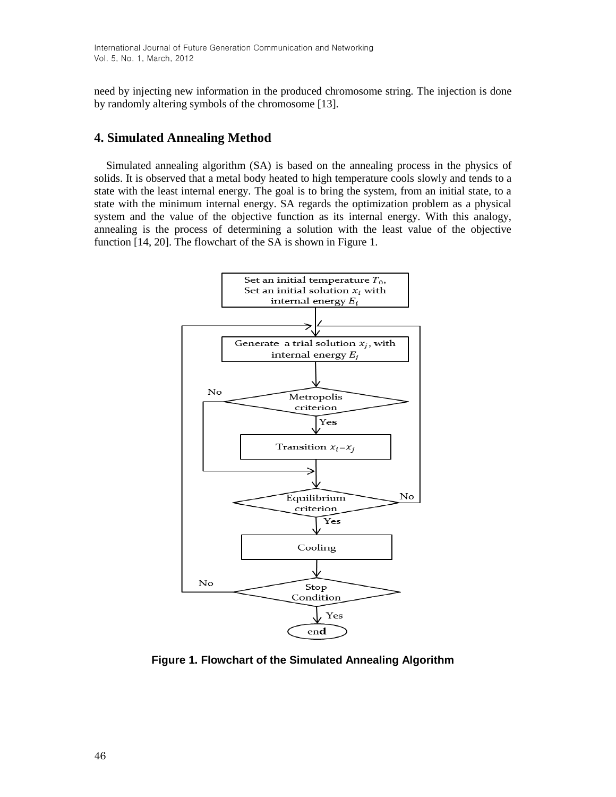need by injecting new information in the produced chromosome string. The injection is done by randomly altering symbols of the chromosome [13].

# **4. Simulated Annealing Method**

Simulated annealing algorithm (SA) is based on the annealing process in the physics of solids. It is observed that a metal body heated to high temperature cools slowly and tends to a state with the least internal energy. The goal is to bring the system, from an initial state, to a state with the minimum internal energy. SA regards the optimization problem as a physical system and the value of the objective function as its internal energy. With this analogy, annealing is the process of determining a solution with the least value of the objective function [14, 20]. The flowchart of the SA is shown in Figure 1.



**Figure 1. Flowchart of the Simulated Annealing Algorithm**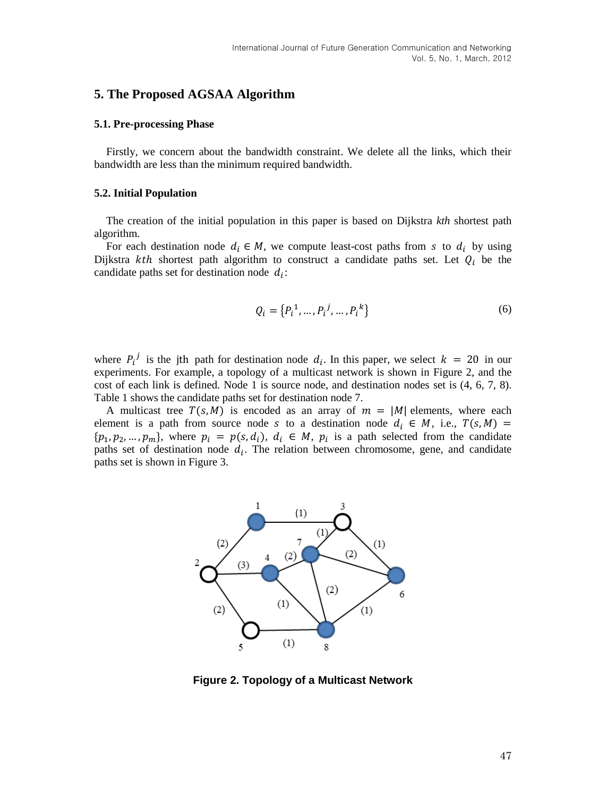## **5. The Proposed AGSAA Algorithm**

#### **5.1. Pre-processing Phase**

Firstly, we concern about the bandwidth constraint. We delete all the links, which their bandwidth are less than the minimum required bandwidth.

#### **5.2. Initial Population**

The creation of the initial population in this paper is based on Dijkstra *kth* shortest path algorithm.

For each destination node  $d_i \in M$ , we compute least-cost paths from s to  $d_i$  by using Dijkstra kth shortest path algorithm to construct a candidate paths set. Let  $Q_i$  be the candidate paths set for destination node  $d_i$ :

$$
Q_i = \{P_i^1, \dots, P_i^j, \dots, P_i^k\}
$$
 (6)

where  $P_i^j$  is the jth path for destination node  $d_i$ . In this paper, we select  $k = 20$  in our experiments. For example, a topology of a multicast network is shown in Figure 2, and the cost of each link is defined. Node 1 is source node, and destination nodes set is (4, 6, 7, 8). Table 1 shows the candidate paths set for destination node 7.

A multicast tree  $T(s, M)$  is encoded as an array of  $m = |M|$  elements, where each element is a path from source node s to a destination node  $d_i \in M$ , i.e.,  $T(s, M)$  $\{p_1, p_2, ..., p_m\}$ , where  $p_i = p(s, d_i)$ ,  $d_i \in M$ ,  $p_i$  is a path selected from the candidate paths set of destination node  $d_i$ . The relation between chromosome, gene, and candidate paths set is shown in Figure 3.



**Figure 2. Topology of a Multicast Network**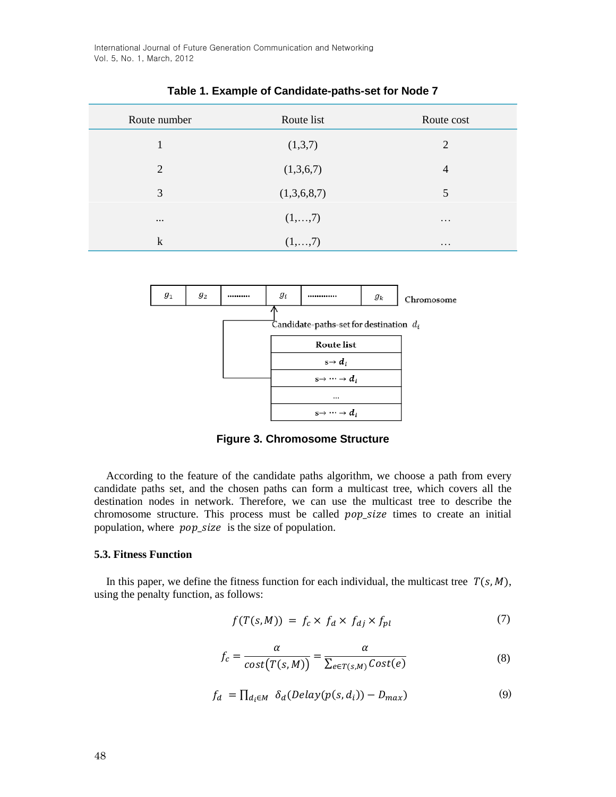International Journal of Future Generation Communication and Networking Vol. 5, No. 1, March, 2012

| Route number | Route list  | Route cost     |
|--------------|-------------|----------------|
| 1            | (1,3,7)     | 2              |
| 2            | (1,3,6,7)   | $\overline{4}$ |
| 3            | (1,3,6,8,7) | 5              |
| $\cdots$     | (1,,7)      | $\cdots$       |
| $\mathbf k$  | (1,,7)      | $\ddotsc$      |

**Table 1. Example of Candidate-paths-set for Node 7**



**Figure 3. Chromosome Structure**

According to the feature of the candidate paths algorithm, we choose a path from every candidate paths set, and the chosen paths can form a multicast tree, which covers all the destination nodes in network. Therefore, we can use the multicast tree to describe the chromosome structure. This process must be called *pop\_size* times to create an initial population, where *pop\_size* is the size of population.

#### **5.3. Fitness Function**

In this paper, we define the fitness function for each individual, the multicast tree  $T(s, M)$ , using the penalty function, as follows:

$$
f(T(s,M)) = f_c \times f_d \times f_{dj} \times f_{pl} \tag{7}
$$

$$
f_c = \frac{\alpha}{\text{cost}(T(s, M))} = \frac{\alpha}{\sum_{e \in T(s, M)} \text{Cost}(e)}
$$
(8)

$$
f_d = \prod_{d_i \in M} \delta_d (Delay(p(s, d_i)) - D_{max})
$$
\n(9)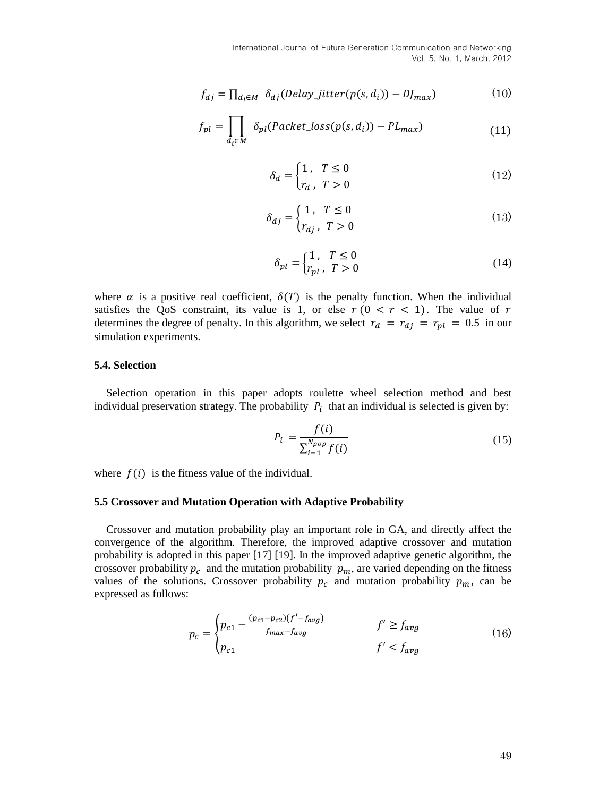International Journal of Future Generation Communication and Networking Vol. 5, No. 1, March, 2012

$$
f_{dj} = \prod_{d_i \in M} \delta_{dj} (Delay\_jitter(p(s, d_i)) - DJ_{max})
$$
 (10)

$$
f_{pl} = \prod_{d_i \in M} \delta_{pl}(Packet\_loss(p(s, d_i)) - PL_{max})
$$
\n(11)

$$
\delta_d = \begin{cases} 1, & T \le 0 \\ r_d, & T > 0 \end{cases}
$$
\n(12)

$$
\delta_{dj} = \begin{cases} 1, & T \le 0 \\ r_{dj}, & T > 0 \end{cases}
$$
 (13)

$$
\delta_{pl} = \begin{cases} 1, & T \le 0 \\ r_{pl}, & T > 0 \end{cases}
$$
 (14)

where  $\alpha$  is a positive real coefficient,  $\delta(T)$  is the penalty function. When the individual satisfies the QoS constraint, its value is 1, or else  $r ( 0 < r < 1)$ . The value of r determines the degree of penalty. In this algorithm, we select  $r_d = r_{dj} = r_{pl} = 0.5$  in our simulation experiments.

#### **5.4. Selection**

Selection operation in this paper adopts roulette wheel selection method and best individual preservation strategy. The probability  $P_i$  that an individual is selected is given by:

$$
P_i = \frac{f(i)}{\sum_{i=1}^{N_{pop}} f(i)}
$$
(15)

where  $f(i)$  is the fitness value of the individual.

#### **5.5 Crossover and Mutation Operation with Adaptive Probability**

Crossover and mutation probability play an important role in GA, and directly affect the convergence of the algorithm. Therefore, the improved adaptive crossover and mutation probability is adopted in this paper [17] [19]. In the improved adaptive genetic algorithm, the crossover probability  $p_c$  and the mutation probability  $p_m$ , are varied depending on the fitness values of the solutions. Crossover probability  $p_c$  and mutation probability  $p_m$ , can be expressed as follows:

$$
p_c = \begin{cases} p_{c1} - \frac{(p_{c1} - p_{c2})(f' - f_{avg})}{f_{max} - f_{avg}} & f' \ge f_{avg} \\ p_{c1} & f' < f_{avg} \end{cases} \tag{16}
$$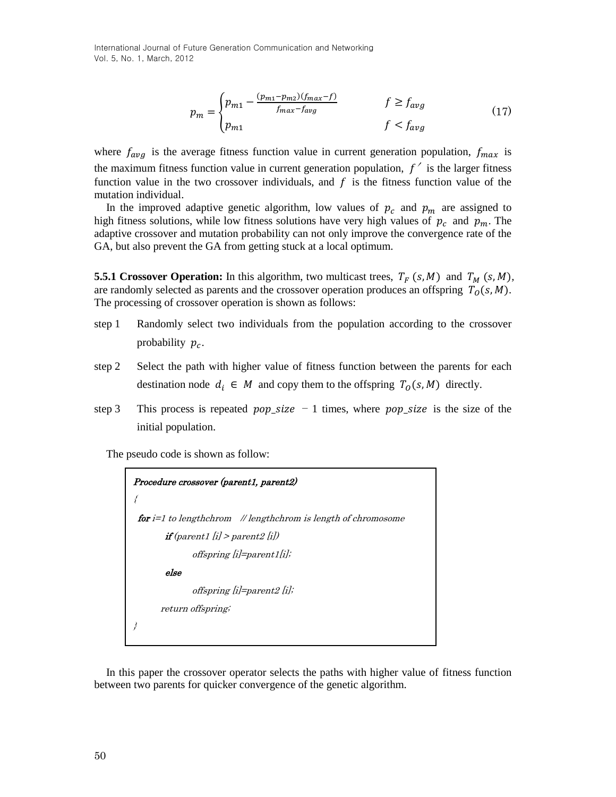International Journal of Future Generation Communication and Networking Vol. 5, No. 1, March, 2012

$$
p_m = \begin{cases} p_{m1} - \frac{(p_{m1} - p_{m2})(f_{max} - f)}{f_{max} - f_{avg}} & f \ge f_{avg} \\ p_{m1} & f < f_{avg} \end{cases} \tag{17}
$$

where  $f_{avg}$  is the average fitness function value in current generation population,  $f_{max}$  is the maximum fitness function value in current generation population,  $f'$  is the larger fitness function value in the two crossover individuals, and  $f$  is the fitness function value of the mutation individual.

In the improved adaptive genetic algorithm, low values of  $p_c$  and  $p_m$  are assigned to high fitness solutions, while low fitness solutions have very high values of  $p_c$  and  $p_m$ . The adaptive crossover and mutation probability can not only improve the convergence rate of the GA, but also prevent the GA from getting stuck at a local optimum.

**5.5.1 Crossover Operation:** In this algorithm, two multicast trees,  $T_F(s, M)$  and  $T_M(s, M)$ , are randomly selected as parents and the crossover operation produces an offspring  $T_0(s, M)$ . The processing of crossover operation is shown as follows:

- step 1 Randomly select two individuals from the population according to the crossover probability  $p_c$ .
- step 2 Select the path with higher value of fitness function between the parents for each destination node  $d_i \in M$  and copy them to the offspring  $T_0(s, M)$  directly.
- step 3 This process is repeated  $pop\_size 1$  times, where  $pop\_size$  is the size of the initial population.

The pseudo code is shown as follow:

Procedure crossover (parent1, parent2) { for i=1 to lengthchrom // lengthchrom is length of chromosome if (parent1 [i] > parent2 [i]) offspring [i]=parent1[i]; else offspring [i]=parent2 [i]; return offspring; }

In this paper the crossover operator selects the paths with higher value of fitness function between two parents for quicker convergence of the genetic algorithm.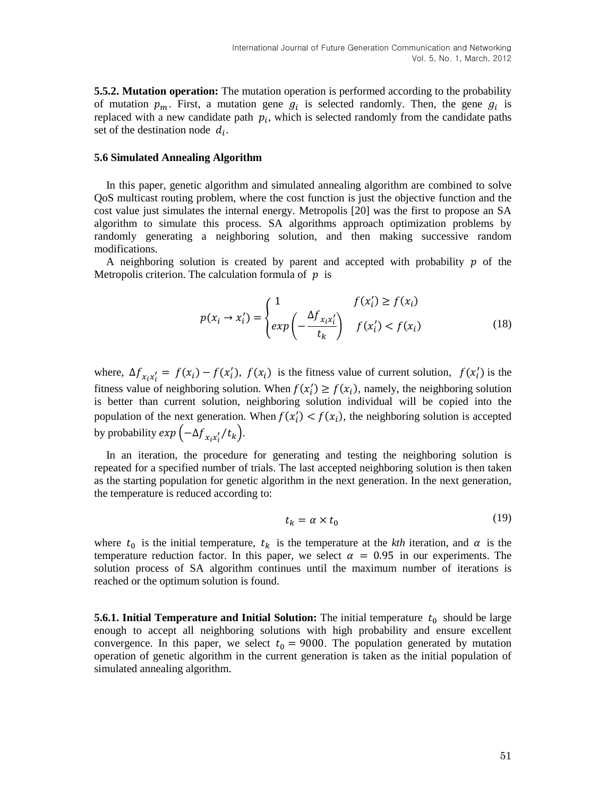**5.5.2. Mutation operation:** The mutation operation is performed according to the probability of mutation  $p_m$ . First, a mutation gene  $q_i$  is selected randomly. Then, the gene  $q_i$  is replaced with a new candidate path  $p_i$ , which is selected randomly from the candidate paths set of the destination node  $d_i$ .

#### **5.6 Simulated Annealing Algorithm**

In this paper, genetic algorithm and simulated annealing algorithm are combined to solve QoS multicast routing problem, where the cost function is just the objective function and the cost value just simulates the internal energy. Metropolis [20] was the first to propose an SA algorithm to simulate this process. SA algorithms approach optimization problems by randomly generating a neighboring solution, and then making successive random modifications.

A neighboring solution is created by parent and accepted with probability  $p$  of the Metropolis criterion. The calculation formula of  $p$  is

$$
p(x_i \to x'_i) = \begin{cases} 1 & f(x'_i) \ge f(x_i) \\ exp\left(-\frac{\Delta f_{x_ix'_i}}{t_k}\right) & f(x'_i) < f(x_i) \end{cases} \tag{18}
$$

where,  $\Delta f_{x_ix'} = f(x_i) - f(x'_i)$ ,  $f(x_i)$  is the fitness value of current solution,  $f(x'_i)$  is the fitness value of neighboring solution. When  $f(x_i') \ge f(x_i)$ , namely, the neighboring solution is better than current solution, neighboring solution individual will be copied into the population of the next generation. When  $f(x_i') < f(x_i)$ , the neighboring solution is accepted by probability  $exp(-\Delta f_{x,x'}/t_k)$ .

In an iteration, the procedure for generating and testing the neighboring solution is repeated for a specified number of trials. The last accepted neighboring solution is then taken as the starting population for genetic algorithm in the next generation. In the next generation, the temperature is reduced according to:

$$
t_k = \alpha \times t_0 \tag{19}
$$

where  $t_0$  is the initial temperature,  $t_k$  is the temperature at the *kth* iteration, and  $\alpha$  is the temperature reduction factor. In this paper, we select  $\alpha = 0.95$  in our experiments. The solution process of SA algorithm continues until the maximum number of iterations is reached or the optimum solution is found.

**5.6.1. Initial Temperature and Initial Solution:** The initial temperature  $t_0$  should be large enough to accept all neighboring solutions with high probability and ensure excellent convergence. In this paper, we select  $t_0 = 9000$ . The population generated by mutation operation of genetic algorithm in the current generation is taken as the initial population of simulated annealing algorithm.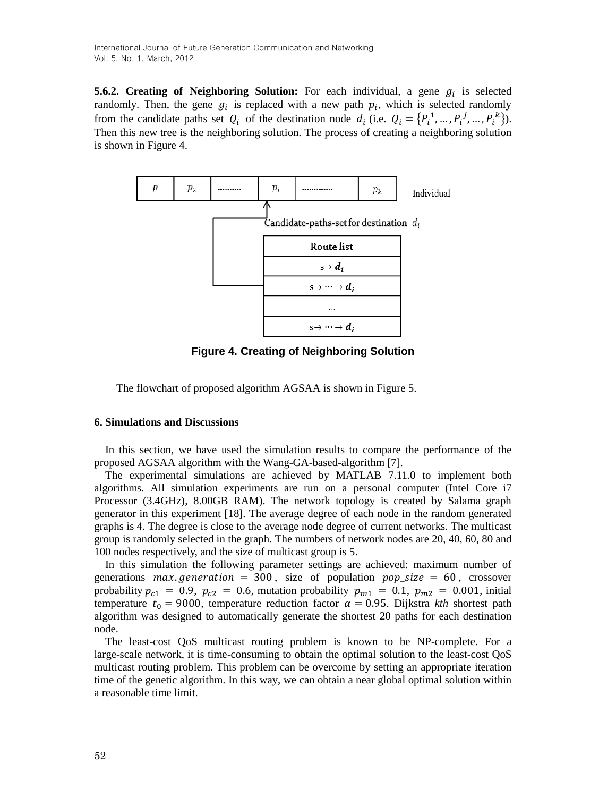**5.6.2. Creating of Neighboring Solution:** For each individual, a gene  $g_i$  is selected randomly. Then, the gene  $g_i$  is replaced with a new path  $p_i$ , which is selected randomly from the candidate paths set  $Q_i$  of the destination node  $d_i$  (i.e.  $Q_i = \{P_i^1, ..., P_i^j, ..., P_i^k\}$ ). Then this new tree is the neighboring solution. The process of creating a neighboring solution is shown in Figure 4.



**Figure 4. Creating of Neighboring Solution**

The flowchart of proposed algorithm AGSAA is shown in Figure 5.

#### **6. Simulations and Discussions**

In this section, we have used the simulation results to compare the performance of the proposed AGSAA algorithm with the Wang-GA-based-algorithm [7].

The experimental simulations are achieved by MATLAB 7.11.0 to implement both algorithms. All simulation experiments are run on a personal computer (Intel Core i7 Processor (3.4GHz), 8.00GB RAM). The network topology is created by Salama graph generator in this experiment [18]. The average degree of each node in the random generated graphs is 4. The degree is close to the average node degree of current networks. The multicast group is randomly selected in the graph. The numbers of network nodes are 20, 40, 60, 80 and 100 nodes respectively, and the size of multicast group is 5.

In this simulation the following parameter settings are achieved: maximum number of generations max generation = 300, size of population  $pop\_size = 60$ , crossover probability  $p_{c1} = 0.9$ ,  $p_{c2} = 0.6$ , mutation probability  $p_{m1} = 0.1$ ,  $p_{m2} = 0.001$ , initial temperature  $t_0 = 9000$ , temperature reduction factor  $\alpha = 0.95$ . Dijkstra *kth* shortest path algorithm was designed to automatically generate the shortest 20 paths for each destination node.

The least-cost QoS multicast routing problem is known to be NP-complete. For a large-scale network, it is time-consuming to obtain the optimal solution to the least-cost QoS multicast routing problem. This problem can be overcome by setting an appropriate iteration time of the genetic algorithm. In this way, we can obtain a near global optimal solution within a reasonable time limit.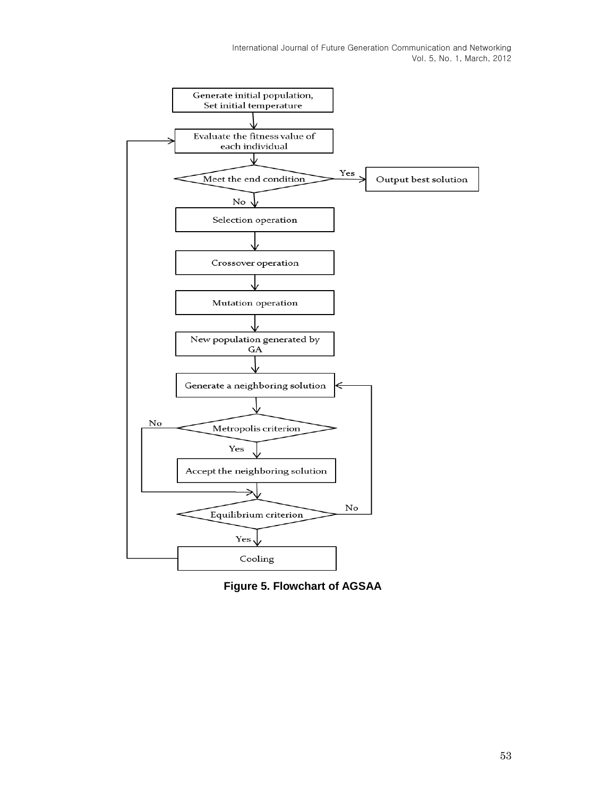

**Figure 5. Flowchart of AGSAA**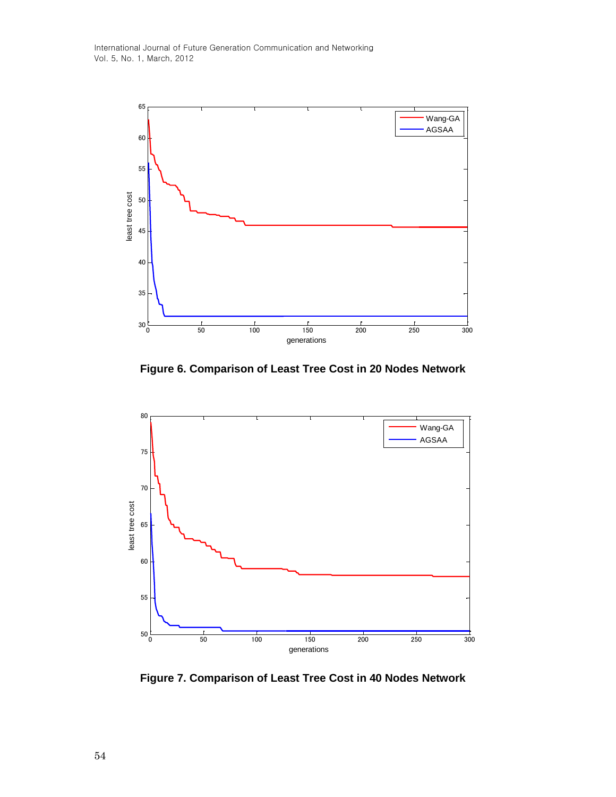

**Figure 6. Comparison of Least Tree Cost in 20 Nodes Network**



**Figure 7. Comparison of Least Tree Cost in 40 Nodes Network**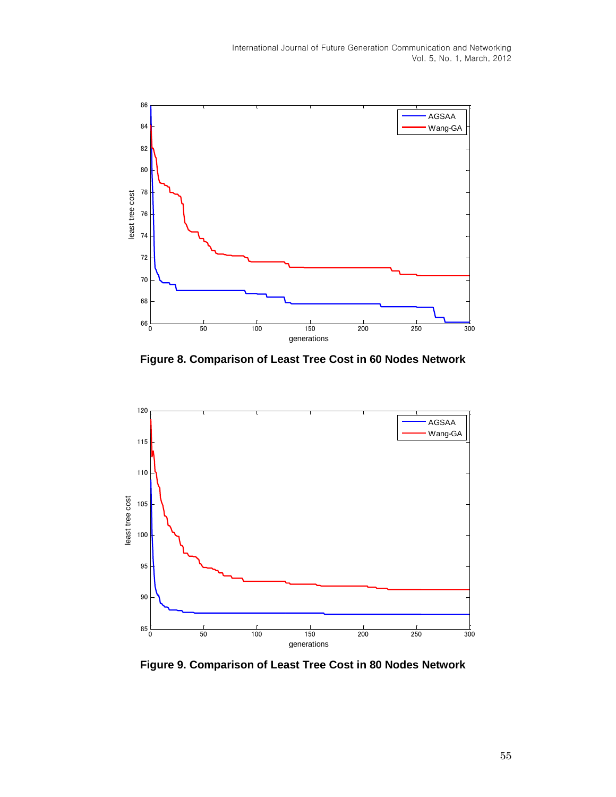

**Figure 8. Comparison of Least Tree Cost in 60 Nodes Network**



**Figure 9. Comparison of Least Tree Cost in 80 Nodes Network**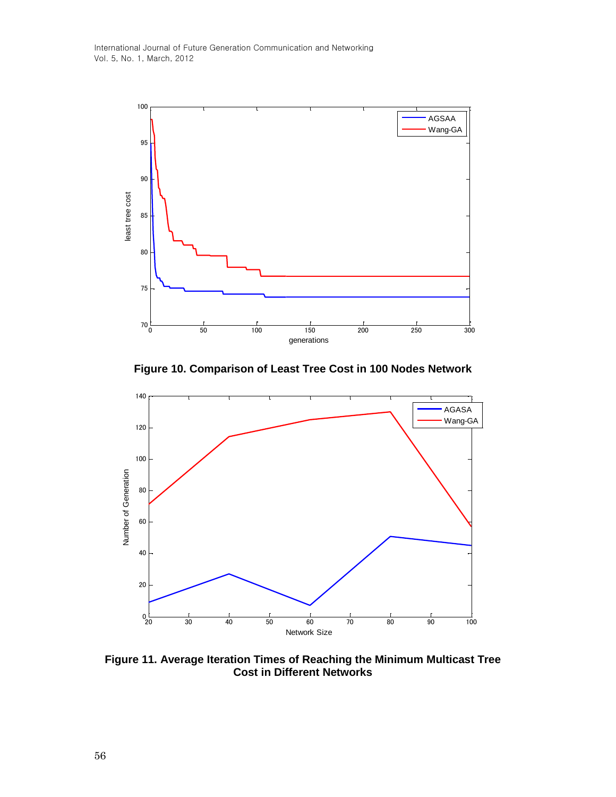

**Figure 10. Comparison of Least Tree Cost in 100 Nodes Network**



**Figure 11. Average Iteration Times of Reaching the Minimum Multicast Tree Cost in Different Networks**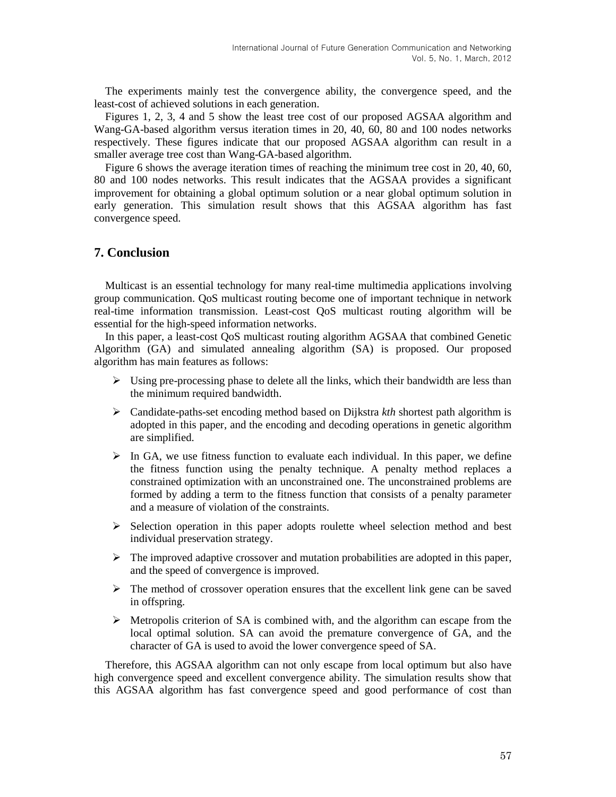The experiments mainly test the convergence ability, the convergence speed, and the least-cost of achieved solutions in each generation.

Figures 1, 2, 3, 4 and 5 show the least tree cost of our proposed AGSAA algorithm and Wang-GA-based algorithm versus iteration times in 20, 40, 60, 80 and 100 nodes networks respectively. These figures indicate that our proposed AGSAA algorithm can result in a smaller average tree cost than Wang-GA-based algorithm.

Figure 6 shows the average iteration times of reaching the minimum tree cost in 20, 40, 60, 80 and 100 nodes networks. This result indicates that the AGSAA provides a significant improvement for obtaining a global optimum solution or a near global optimum solution in early generation. This simulation result shows that this AGSAA algorithm has fast convergence speed.

# **7. Conclusion**

Multicast is an essential technology for many real-time multimedia applications involving group communication. QoS multicast routing become one of important technique in network real-time information transmission. Least-cost QoS multicast routing algorithm will be essential for the high-speed information networks.

In this paper, a least-cost QoS multicast routing algorithm AGSAA that combined Genetic Algorithm (GA) and simulated annealing algorithm (SA) is proposed. Our proposed algorithm has main features as follows:

- $\triangleright$  Using pre-processing phase to delete all the links, which their bandwidth are less than the minimum required bandwidth.
- Candidate-paths-set encoding method based on Dijkstra *kth* shortest path algorithm is adopted in this paper, and the encoding and decoding operations in genetic algorithm are simplified.
- $\triangleright$  In GA, we use fitness function to evaluate each individual. In this paper, we define the fitness function using the penalty technique. A penalty method replaces a constrained optimization with an unconstrained one. The unconstrained problems are formed by adding a term to the fitness function that consists of a penalty parameter and a measure of violation of the constraints.
- $\triangleright$  Selection operation in this paper adopts roulette wheel selection method and best individual preservation strategy.
- $\triangleright$  The improved adaptive crossover and mutation probabilities are adopted in this paper, and the speed of convergence is improved.
- $\triangleright$  The method of crossover operation ensures that the excellent link gene can be saved in offspring.
- $\triangleright$  Metropolis criterion of SA is combined with, and the algorithm can escape from the local optimal solution. SA can avoid the premature convergence of GA, and the character of GA is used to avoid the lower convergence speed of SA.

Therefore, this AGSAA algorithm can not only escape from local optimum but also have high convergence speed and excellent convergence ability. The simulation results show that this AGSAA algorithm has fast convergence speed and good performance of cost than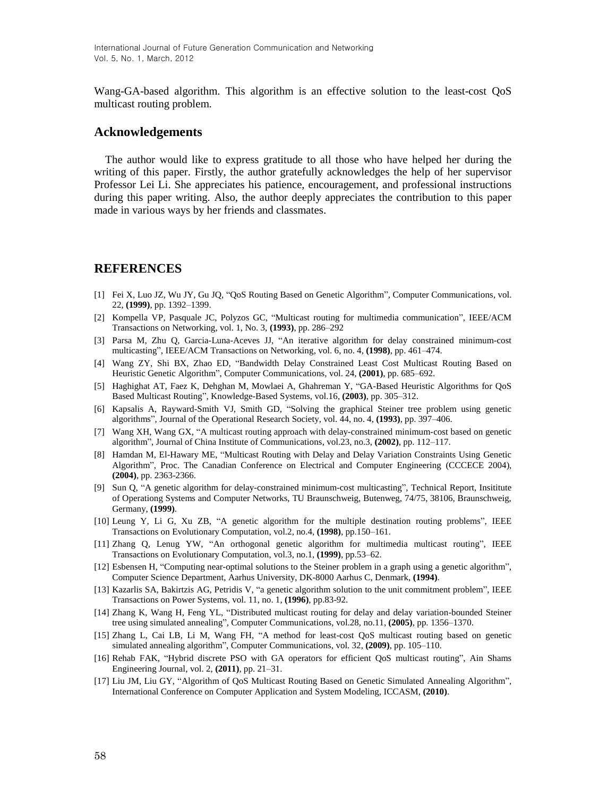Wang-GA-based algorithm. This algorithm is an effective solution to the least-cost QoS multicast routing problem.

#### **Acknowledgements**

The author would like to express gratitude to all those who have helped her during the writing of this paper. Firstly, the author gratefully acknowledges the help of her supervisor Professor Lei Li. She appreciates his patience, encouragement, and professional instructions during this paper writing. Also, the author deeply appreciates the contribution to this paper made in various ways by her friends and classmates.

#### **REFERENCES**

- [1] Fei X, Luo JZ, Wu JY, Gu JQ, "QoS Routing Based on Genetic Algorithm", Computer Communications, vol. 22, **(1999)**, pp. 1392–1399.
- [2] Kompella VP, Pasquale JC, Polyzos GC, "Multicast routing for multimedia communication", IEEE/ACM Transactions on Networking, vol. 1, No. 3, **(1993)**, pp. 286–292
- [3] Parsa M, Zhu Q, Garcia-Luna-Aceves JJ, "An iterative algorithm for delay constrained minimum-cost multicasting", IEEE/ACM Transactions on Networking, vol. 6, no. 4, **(1998)**, pp. 461–474.
- [4] Wang ZY, Shi BX, Zhao ED, "Bandwidth Delay Constrained Least Cost Multicast Routing Based on Heuristic Genetic Algorithm", Computer Communications, vol. 24, **(2001)**, pp. 685–692.
- [5] Haghighat AT, Faez K, Dehghan M, Mowlaei A, Ghahreman Y, "GA-Based Heuristic Algorithms for QoS Based Multicast Routing", Knowledge-Based Systems, vol.16, **(2003)**, pp. 305–312.
- [6] Kapsalis A, Rayward-Smith VJ, Smith GD, "Solving the graphical Steiner tree problem using genetic algorithms", Journal of the Operational Research Society, vol. 44, no. 4, **(1993)**, pp. 397–406.
- [7] Wang XH, Wang GX, "A multicast routing approach with delay-constrained minimum-cost based on genetic algorithm", Journal of China Institute of Communications, vol.23, no.3, **(2002)**, pp. 112–117.
- [8] Hamdan M, El-Hawary ME, "Multicast Routing with Delay and Delay Variation Constraints Using Genetic Algorithm", Proc. The Canadian Conference on Electrical and Computer Engineering (CCCECE 2004), **(2004)**, pp. 2363-2366.
- [9] Sun Q, "A genetic algorithm for delay-constrained minimum-cost multicasting", Technical Report, Insititute of Operationg Systems and Computer Networks, TU Braunschweig, Butenweg, 74/75, 38106, Braunschweig, Germany, **(1999)**.
- [10] Leung Y, Li G, Xu ZB, "A genetic algorithm for the multiple destination routing problems", IEEE Transactions on Evolutionary Computation, vol.2, no.4, **(1998)**, pp.150–161.
- [11] Zhang Q, Lenug YW, "An orthogonal genetic algorithm for multimedia multicast routing", IEEE Transactions on Evolutionary Computation, vol.3, no.1, **(1999)**, pp.53–62.
- [12] Esbensen H, "Computing near-optimal solutions to the Steiner problem in a graph using a genetic algorithm", Computer Science Department, Aarhus University, DK-8000 Aarhus C, Denmark, **(1994)**.
- [13] Kazarlis SA, Bakirtzis AG, Petridis V, "a genetic algorithm solution to the unit commitment problem", IEEE Transactions on Power Systems, vol. 11, no. 1, **(1996)**, pp.83-92.
- [14] Zhang K, Wang H, Feng YL, "Distributed multicast routing for delay and delay variation-bounded Steiner tree using simulated annealing", Computer Communications, vol.28, no.11, **(2005)**, pp. 1356–1370.
- [15] Zhang L, Cai LB, Li M, Wang FH, "A method for least-cost QoS multicast routing based on genetic simulated annealing algorithm", Computer Communications, vol. 32, **(2009)**, pp. 105–110.
- [16] Rehab FAK, "Hybrid discrete PSO with GA operators for efficient QoS multicast routing", Ain Shams Engineering Journal, vol. 2, **(2011)**, pp. 21–31.
- [17] Liu JM, Liu GY, "Algorithm of QoS Multicast Routing Based on Genetic Simulated Annealing Algorithm", International Conference on Computer Application and System Modeling, ICCASM, **(2010)**.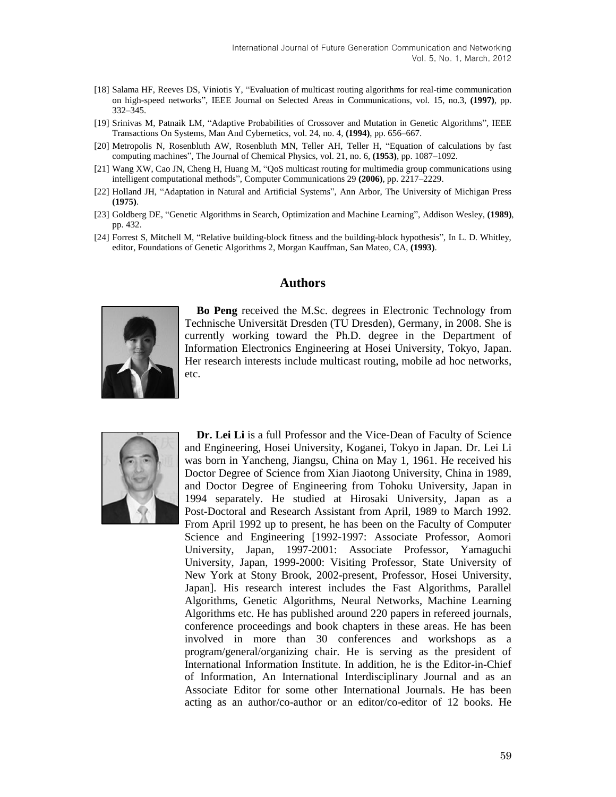- [18] Salama HF, Reeves DS, Viniotis Y, "Evaluation of multicast routing algorithms for real-time communication on high-speed networks", IEEE Journal on Selected Areas in Communications, vol. 15, no.3, **(1997)**, pp. 332–345.
- [19] Srinivas M, Patnaik LM, "Adaptive Probabilities of Crossover and Mutation in Genetic Algorithms", IEEE Transactions On Systems, Man And Cybernetics, vol. 24, no. 4, **(1994)**, pp. 656–667.
- [20] Metropolis N, Rosenbluth AW, Rosenbluth MN, Teller AH, Teller H, "Equation of calculations by fast computing machines", The Journal of Chemical Physics, vol. 21, no. 6, **(1953)**, pp. 1087–1092.
- [21] Wang XW, Cao JN, Cheng H, Huang M, "QoS multicast routing for multimedia group communications using intelligent computational methods", Computer Communications 29 **(2006)**, pp. 2217–2229.
- [22] Holland JH, "Adaptation in Natural and Artificial Systems", Ann Arbor, The University of Michigan Press **(1975)**.
- [23] Goldberg DE, "Genetic Algorithms in Search, Optimization and Machine Learning", Addison Wesley, **(1989)**, pp. 432.
- [24] Forrest S, Mitchell M, "Relative building-block fitness and the building-block hypothesis", In L. D. Whitley, editor, Foundations of Genetic Algorithms 2, Morgan Kauffman, San Mateo, CA, **(1993)**.

## **Authors**



**Bo Peng** received the M.Sc. degrees in Electronic Technology from Technische Universität Dresden (TU Dresden), Germany, in 2008. She is currently working toward the Ph.D. degree in the Department of Information Electronics Engineering at Hosei University, Tokyo, Japan. Her research interests include multicast routing, mobile ad hoc networks, etc.



**Dr. Lei Li** is a full Professor and the Vice-Dean of Faculty of Science and Engineering, Hosei University, Koganei, Tokyo in Japan. Dr. Lei Li was born in Yancheng, Jiangsu, China on May 1, 1961. He received his Doctor Degree of Science from Xian Jiaotong University, China in 1989, and Doctor Degree of Engineering from Tohoku University, Japan in 1994 separately. He studied at Hirosaki University, Japan as a Post-Doctoral and Research Assistant from April, 1989 to March 1992. From April 1992 up to present, he has been on the Faculty of Computer Science and Engineering [1992-1997: Associate Professor, Aomori University, Japan, 1997-2001: Associate Professor, Yamaguchi University, Japan, 1999-2000: Visiting Professor, State University of New York at Stony Brook, 2002-present, Professor, Hosei University, Japan]. His research interest includes the Fast Algorithms, Parallel Algorithms, Genetic Algorithms, Neural Networks, Machine Learning Algorithms etc. He has published around 220 papers in refereed journals, conference proceedings and book chapters in these areas. He has been involved in more than 30 conferences and workshops as a program/general/organizing chair. He is serving as the president of International Information Institute. In addition, he is the Editor-in-Chief of Information, An International Interdisciplinary Journal and as an Associate Editor for some other International Journals. He has been acting as an author/co-author or an editor/co-editor of 12 books. He